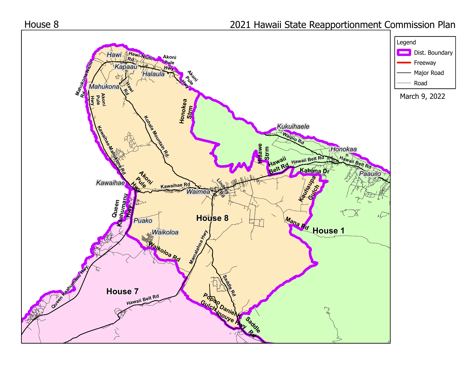